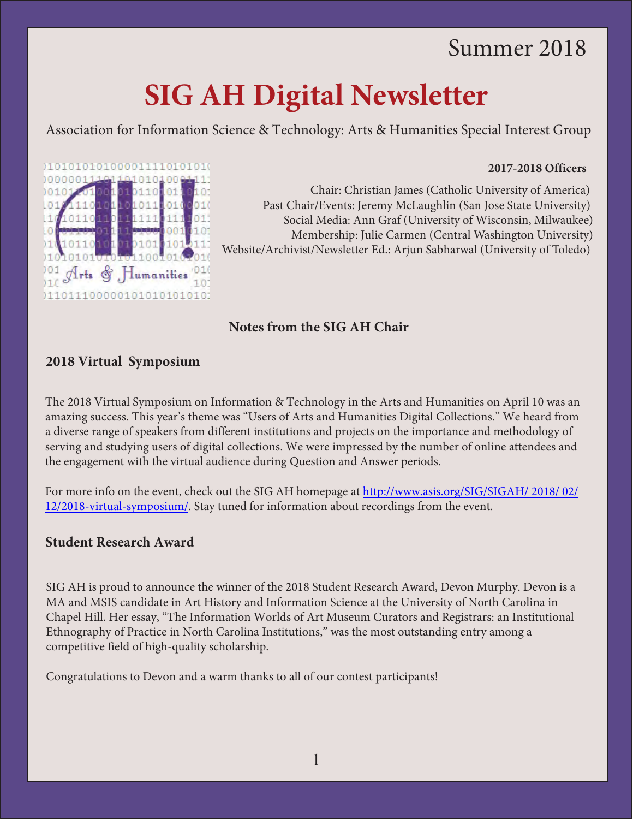# Summer 2018

# **SIG AH Digital Newsletter**

Association for Information Science & Technology: Arts & Humanities Special Interest Group

#### **2017-2018 Officers**



Chair: Christian James (Catholic University of America) Past Chair/Events: Jeremy McLaughlin (San Jose State University) Social Media: Ann Graf (University of Wisconsin, Milwaukee) Membership: Julie Carmen (Central Washington University) Website/Archivist/Newsletter Ed.: Arjun Sabharwal (University of Toledo)

# **Notes from the SIG AH Chair**

# **2018 Virtual Symposium**

The 2018 Virtual Symposium on Information & Technology in the Arts and Humanities on April 10 was an amazing success. This year's theme was "Users of Arts and Humanities Digital Collections." We heard from a diverse range of speakers from different institutions and projects on the importance and methodology of serving and studying users of digital collections. We were impressed by the number of online attendees and the engagement with the virtual audience during Question and Answer periods.

For more info on the event, check out the SIG AH homepage at [http://www.asis.org/SIG/SIGAH/ 2018/ 02/](http://www.asis.org/SIG/SIGAH/2018/02/12/2018-virtual-symposium/)  [12/2018-virtual-symposium/.](http://www.asis.org/SIG/SIGAH/2018/02/12/2018-virtual-symposium/) Stay tuned for information about recordings from the event.

# **Student Research Award**

SIG AH is proud to announce the winner of the 2018 Student Research Award, Devon Murphy. Devon is a MA and MSIS candidate in Art History and Information Science at the University of North Carolina in Chapel Hill. Her essay, "The Information Worlds of Art Museum Curators and Registrars: an Institutional Ethno[graphy of Pra](https://docs.google.com/forms/d/e/1FAIpQLSchRo-A8WGIAJwHHWgUq4TIPWBpRHnuVk-nZ4u-ulj9VeOnGg/viewform)ctice in North Carolina Institutions," was the most outstanding entry among a competitive field of high-quality scholarship.

Congratulations to Devon and a warm thanks to all of our contest participants!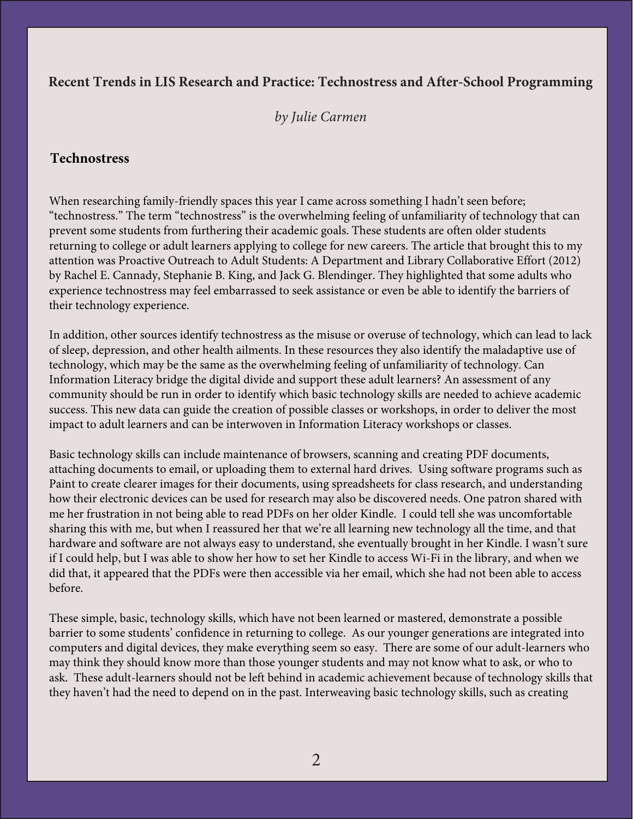# **Recent Trends in LIS Research and Practice: Technostress and After-School Programming**

#### *by Julie Carmen*

#### **Technostress**

When researching family-friendly spaces this year I came across something I hadn't seen before; "technostress." The term "technostress" is the overwhelming feeling of unfamiliarity of technology that can prevent some students from furthering their academic goals. These students are often older students returning to college or adult learners applying to college for new careers. The article that brought this to my attention was Proactive Outreach to Adult Students: A Department and Library Collaborative Effort (2012) by Rachel E. Cannady, Stephanie B. King, and Jack G. Blendinger. They highlighted that some adults who experience tec[hnostress may feel embarr](http://www.asis.org/SIG/SIGAH/2018/02/21/2018-cfsp/)assed to seek assistance or even be able to identify the barriers of their technology experience.

In addition, other sources identify technostress as the misuse or overuse of technology, which can lead to lack of sleep, depression, and other health ailments. In these resources they also identify the maladaptive use of technology, which may be the same as the overwhelming feeling of unfamiliarity of technology. Can Information Literacy bridge the digital divide and support these adult learners? An assessment of any community should be run in order to identify which basic technology skills are needed to achieve academic success. This new data can guide the creation of possible classes or workshops, in order to deliver the most impact to adult learners and can be interwoven in Information Literacy workshops or classes.

Basic technology skills can include maintenance of browsers, scanning and creating PDF documents, attaching documents to email, or uploading them to external hard drives. Using software programs such as Paint to create clearer images for their documents, using spreadsheets for class research, and understanding how their electronic devices can be used for research may also be discovered needs. One patron shared with me her frustration in not being able to read PDFs on her older Kindle. I could tell she was uncomfortable sharing this with me, but when I reassured her that we're all learning new technology all the time, and that [hardware and software are not always easy to understand, she eventually brought](http://www.ala.org/tools/librariestransform/libraries-transforming-communities) in her Kindle. I wasn't sure if I could help, but I was able to show her how to set her Kindle to access Wi-Fi in the library, and when we did that, it appeared that the PDFs were then accessible via her email, which she had not been able to access before.

These simple, basic, technology skills, which have not been learned or mastered, demonstrate a possible barrier to some students' confidence in returning to college. As our younger generations are integrated into computers and digital devices, they make everything seem so easy. There are some of our adult-learners who may think they should know more than those younger students and may not know what to ask, or who to ask. These adult-learners should not be left behind in academic achievement because of technology skills that they haven't had the need to depend on in the past. Interweaving basic technology skills, such as creating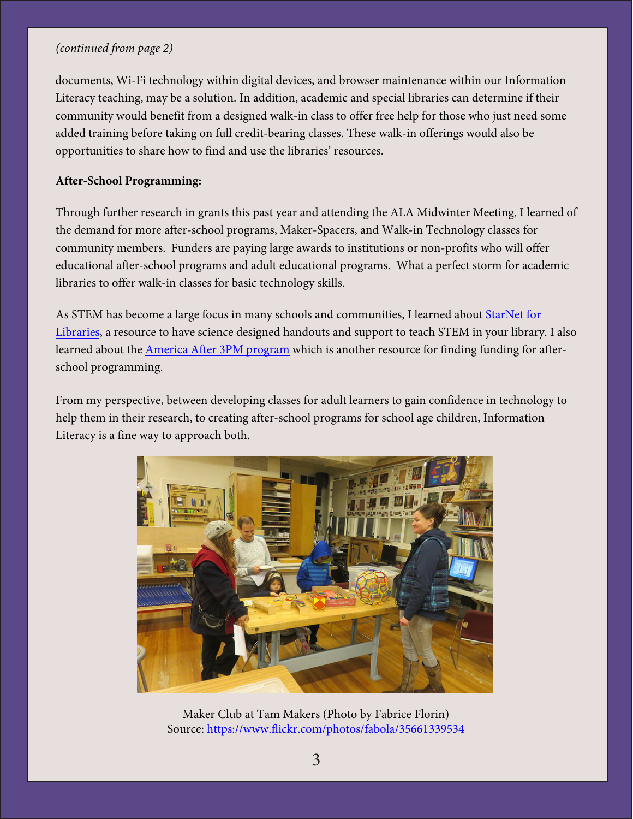#### *(continued from page 2)*

documents, Wi-Fi technology within digital devices, and browser maintenance within our Information Literacy teaching, may be a solution. In addition, academic and special libraries can determine if their community would benefit from a designed walk-in class to offer free help for those who just need some added training before taking on full credit-bearing classes. These walk-in offerings would also be opportunities to share how to find and use the libraries' resources.

#### **After-School Programming:**

Through further research in grants this past year and attending the ALA Midwinter Meeting, I learned of the demand for more after-school programs, Maker-Spacers, and Walk-in Technology classes for community members. Funders are paying large awards to institutions or non-profits who will offer educational after-school programs and adult educational programs. What a perfect storm for academic libraries to offer walk-in classes for basic technology skills.

As STEM has become a large focus in many schools and communities, I learned about StarNet for Libraries, a resource to have science designed handouts and support to teach STEM in [your library](http://www.starnetlibraries.org/). I also [learned a](http://www.starnetlibraries.org/)bout the [America After 3PM program w](http://www.afterschoolalliance.org/AA3PM/)hich is another resource for finding funding for afterschool programming.

From my perspective, between developing classes for adult learners to gain confidence in technology to help them in their research, to creating after-school programs for school age children, Information Literacy is a fine way to approach both.



Maker Club at Tam Makers (Photo by Fabrice Florin) Source:<https://www.flickr.com/photos/fabola/35661339534>